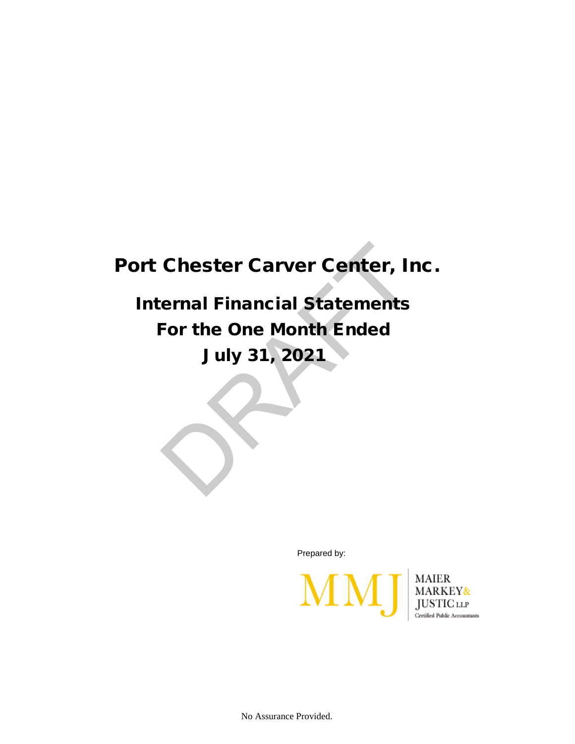## Port Chester Carver Center, Inc.

## Internal Financial Statements For the One Month Ended July 31, 2021 Chester Carver Center, Ir<br>
ernal Financial Statements<br>
For the One Month Ended<br>
July 31, 2021

Prepared by:



No Assurance Provided.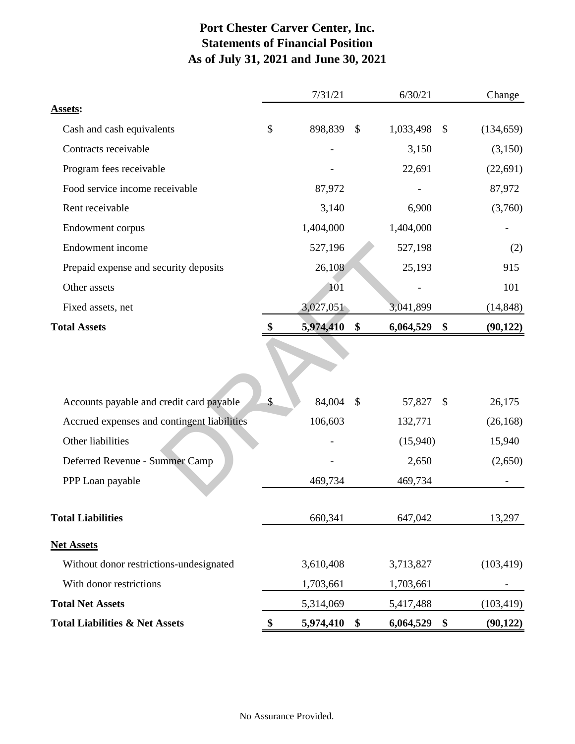## **Port Chester Carver Center, Inc. Statements of Financial Position As of July 31, 2021 and June 30, 2021**

|                                             | 7/31/21 |           |                           | 6/30/21   | Change        |            |  |
|---------------------------------------------|---------|-----------|---------------------------|-----------|---------------|------------|--|
| <b>Assets:</b>                              |         |           |                           |           |               |            |  |
| Cash and cash equivalents                   | \$      | 898,839   | $\boldsymbol{\mathsf{S}}$ | 1,033,498 | $\mathcal{S}$ | (134, 659) |  |
| Contracts receivable                        |         |           |                           | 3,150     |               | (3,150)    |  |
| Program fees receivable                     |         |           |                           | 22,691    |               | (22, 691)  |  |
| Food service income receivable              | 87,972  |           |                           |           |               | 87,972     |  |
| Rent receivable                             | 3,140   |           | 6,900                     |           |               | (3,760)    |  |
| Endowment corpus                            |         | 1,404,000 |                           | 1,404,000 |               |            |  |
| Endowment income                            |         | 527,196   |                           | 527,198   |               | (2)        |  |
| Prepaid expense and security deposits       |         | 26,108    |                           | 25,193    |               | 915        |  |
| Other assets                                | 101     |           |                           |           |               | 101        |  |
| Fixed assets, net                           |         | 3,027,051 |                           | 3,041,899 |               |            |  |
| <b>Total Assets</b>                         |         | 5,974,410 | \$                        | 6,064,529 | \$            | (90, 122)  |  |
|                                             |         |           |                           |           |               |            |  |
| Accounts payable and credit card payable    | \$      | 84,004    | $\mathcal{S}$             | 57,827    | \$            | 26,175     |  |
| Accrued expenses and contingent liabilities |         | 106,603   |                           | 132,771   |               | (26, 168)  |  |
| Other liabilities                           |         |           |                           | (15,940)  |               | 15,940     |  |
| Deferred Revenue - Summer Camp              |         |           |                           | 2,650     |               | (2,650)    |  |
| PPP Loan payable                            |         | 469,734   |                           | 469,734   |               |            |  |
| <b>Total Liabilities</b>                    |         | 660,341   |                           | 647,042   |               | 13,297     |  |
| <b>Net Assets</b>                           |         |           |                           |           |               |            |  |
| Without donor restrictions-undesignated     |         | 3,610,408 |                           | 3,713,827 |               | (103, 419) |  |
| With donor restrictions                     |         | 1,703,661 |                           | 1,703,661 |               |            |  |
| <b>Total Net Assets</b>                     |         | 5,314,069 |                           | 5,417,488 |               | (103, 419) |  |
| <b>Total Liabilities &amp; Net Assets</b>   | \$      | 5,974,410 | \$                        | 6,064,529 | \$            | (90, 122)  |  |